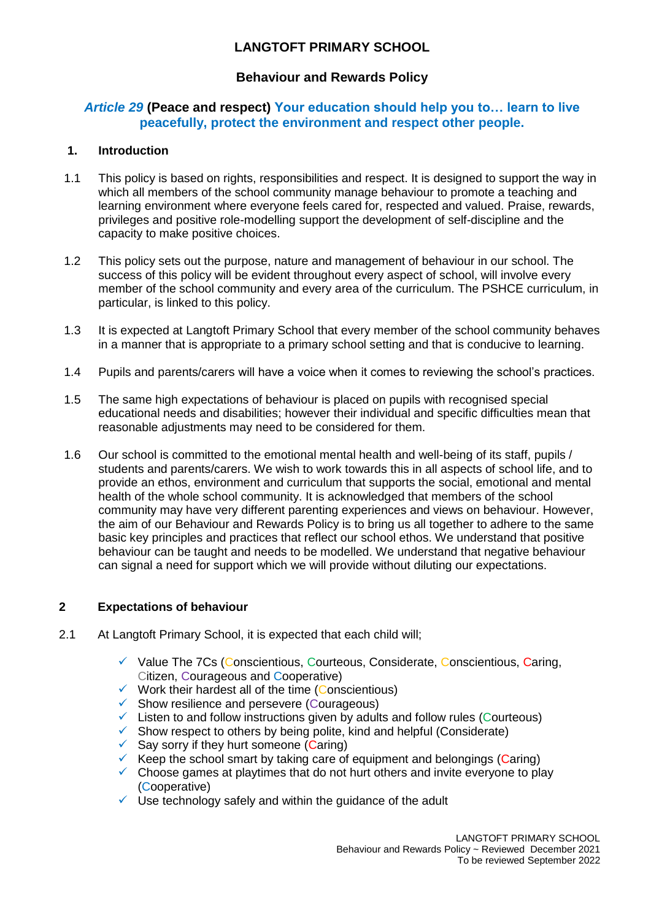# **LANGTOFT PRIMARY SCHOOL**

# **Behaviour and Rewards Policy**

# *Article 29* **(Peace and respect) Your education should help you to… learn to live peacefully, protect the environment and respect other people.**

# **1. Introduction**

- 1.1 This policy is based on rights, responsibilities and respect. It is designed to support the way in which all members of the school community manage behaviour to promote a teaching and learning environment where everyone feels cared for, respected and valued. Praise, rewards, privileges and positive role-modelling support the development of self-discipline and the capacity to make positive choices.
- 1.2 This policy sets out the purpose, nature and management of behaviour in our school. The success of this policy will be evident throughout every aspect of school, will involve every member of the school community and every area of the curriculum. The PSHCE curriculum, in particular, is linked to this policy.
- 1.3 It is expected at Langtoft Primary School that every member of the school community behaves in a manner that is appropriate to a primary school setting and that is conducive to learning.
- 1.4 Pupils and parents/carers will have a voice when it comes to reviewing the school's practices.
- 1.5 The same high expectations of behaviour is placed on pupils with recognised special educational needs and disabilities; however their individual and specific difficulties mean that reasonable adjustments may need to be considered for them.
- 1.6 Our school is committed to the emotional mental health and well-being of its staff, pupils / students and parents/carers. We wish to work towards this in all aspects of school life, and to provide an ethos, environment and curriculum that supports the social, emotional and mental health of the whole school community. It is acknowledged that members of the school community may have very different parenting experiences and views on behaviour. However, the aim of our Behaviour and Rewards Policy is to bring us all together to adhere to the same basic key principles and practices that reflect our school ethos. We understand that positive behaviour can be taught and needs to be modelled. We understand that negative behaviour can signal a need for support which we will provide without diluting our expectations.

## **2 Expectations of behaviour**

- 2.1 At Langtoft Primary School, it is expected that each child will;
	- $\checkmark$  Value The 7Cs (Conscientious, Courteous, Considerate, Conscientious, Caring, Citizen, Courageous and Cooperative)
	- $\checkmark$  Work their hardest all of the time (Conscientious)
	- ✓ Show resilience and persevere (Courageous)
	- ✓ Listen to and follow instructions given by adults and follow rules (Courteous)
	- $\checkmark$  Show respect to others by being polite, kind and helpful (Considerate)
	- $\checkmark$  Say sorry if they hurt someone (Caring)
	- $\checkmark$  Keep the school smart by taking care of equipment and belongings (Caring)
	- ✓ Choose games at playtimes that do not hurt others and invite everyone to play (Cooperative)
	- $\checkmark$  Use technology safely and within the guidance of the adult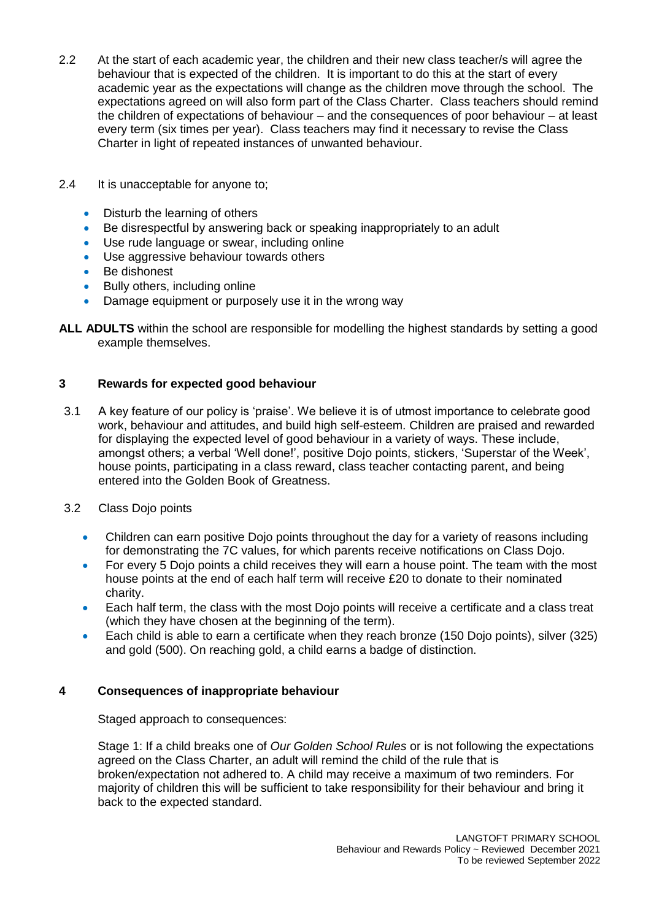- 2.2 At the start of each academic year, the children and their new class teacher/s will agree the behaviour that is expected of the children. It is important to do this at the start of every academic year as the expectations will change as the children move through the school. The expectations agreed on will also form part of the Class Charter. Class teachers should remind the children of expectations of behaviour – and the consequences of poor behaviour – at least every term (six times per year). Class teachers may find it necessary to revise the Class Charter in light of repeated instances of unwanted behaviour.
- 2.4 It is unacceptable for anyone to;
	- Disturb the learning of others
	- Be disrespectful by answering back or speaking inappropriately to an adult
	- Use rude language or swear, including online
	- Use aggressive behaviour towards others
	- Be dishonest
	- Bully others, including online
	- Damage equipment or purposely use it in the wrong way
- **ALL ADULTS** within the school are responsible for modelling the highest standards by setting a good example themselves.

# **3 Rewards for expected good behaviour**

- 3.1 A key feature of our policy is 'praise'. We believe it is of utmost importance to celebrate good work, behaviour and attitudes, and build high self-esteem. Children are praised and rewarded for displaying the expected level of good behaviour in a variety of ways. These include, amongst others; a verbal 'Well done!', positive Dojo points, stickers, 'Superstar of the Week', house points, participating in a class reward, class teacher contacting parent, and being entered into the Golden Book of Greatness.
- 3.2 Class Dojo points
	- Children can earn positive Dojo points throughout the day for a variety of reasons including for demonstrating the 7C values, for which parents receive notifications on Class Dojo.
	- For every 5 Dojo points a child receives they will earn a house point. The team with the most house points at the end of each half term will receive £20 to donate to their nominated charity.
	- Each half term, the class with the most Dojo points will receive a certificate and a class treat (which they have chosen at the beginning of the term).
	- Each child is able to earn a certificate when they reach bronze (150 Dojo points), silver (325) and gold (500). On reaching gold, a child earns a badge of distinction.

## **4 Consequences of inappropriate behaviour**

Staged approach to consequences:

Stage 1: If a child breaks one of *Our Golden School Rules* or is not following the expectations agreed on the Class Charter, an adult will remind the child of the rule that is broken/expectation not adhered to. A child may receive a maximum of two reminders. For majority of children this will be sufficient to take responsibility for their behaviour and bring it back to the expected standard.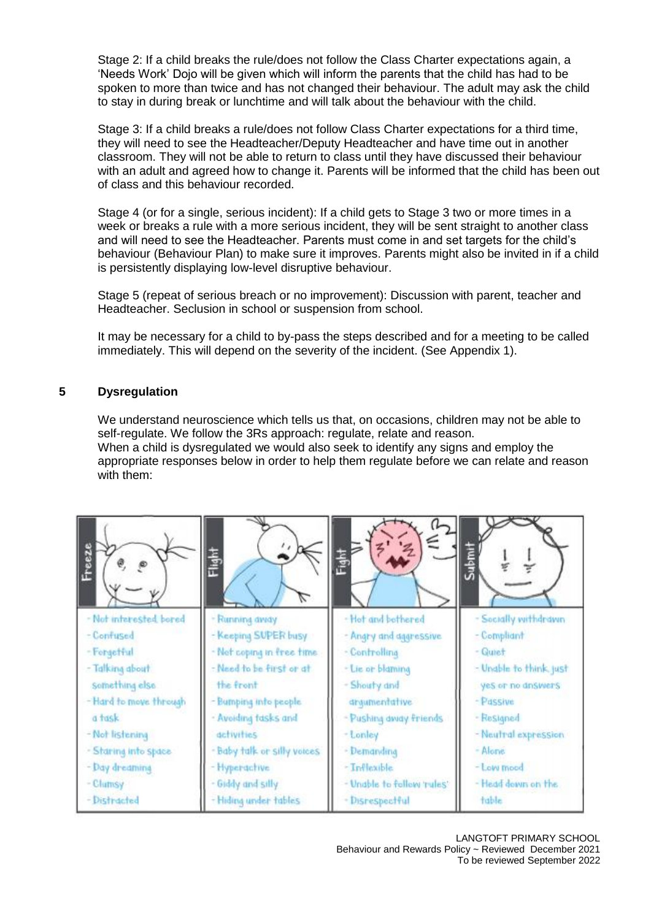Stage 2: If a child breaks the rule/does not follow the Class Charter expectations again, a 'Needs Work' Dojo will be given which will inform the parents that the child has had to be spoken to more than twice and has not changed their behaviour. The adult may ask the child to stay in during break or lunchtime and will talk about the behaviour with the child.

Stage 3: If a child breaks a rule/does not follow Class Charter expectations for a third time, they will need to see the Headteacher/Deputy Headteacher and have time out in another classroom. They will not be able to return to class until they have discussed their behaviour with an adult and agreed how to change it. Parents will be informed that the child has been out of class and this behaviour recorded.

Stage 4 (or for a single, serious incident): If a child gets to Stage 3 two or more times in a week or breaks a rule with a more serious incident, they will be sent straight to another class and will need to see the Headteacher. Parents must come in and set targets for the child's behaviour (Behaviour Plan) to make sure it improves. Parents might also be invited in if a child is persistently displaying low-level disruptive behaviour.

Stage 5 (repeat of serious breach or no improvement): Discussion with parent, teacher and Headteacher. Seclusion in school or suspension from school.

It may be necessary for a child to by-pass the steps described and for a meeting to be called immediately. This will depend on the severity of the incident. (See Appendix 1).

#### **5 Dysregulation**

We understand neuroscience which tells us that, on occasions, children may not be able to self-regulate. We follow the 3Rs approach: regulate, relate and reason. When a child is dysregulated we would also seek to identify any signs and employ the appropriate responses below in order to help them regulate before we can relate and reason with them:

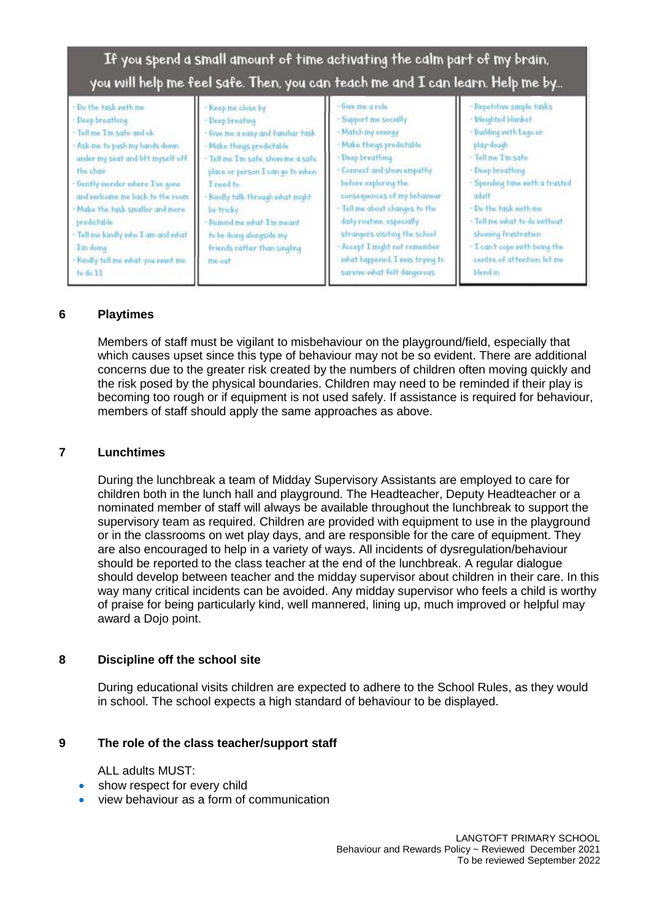| If you spend a small amount of time activating the calm part of my brain,<br>you will help me feel safe. Then, you can teach me and I can learn. Help me by                                                                                                                                                                                                                                        |                                                                                                                                                                                                                                                                                                                                                     |                                                                                                                                                                                                                                                                                                                                                                                                          |                                                                                                                                                                                                                                                                                                                                   |
|----------------------------------------------------------------------------------------------------------------------------------------------------------------------------------------------------------------------------------------------------------------------------------------------------------------------------------------------------------------------------------------------------|-----------------------------------------------------------------------------------------------------------------------------------------------------------------------------------------------------------------------------------------------------------------------------------------------------------------------------------------------------|----------------------------------------------------------------------------------------------------------------------------------------------------------------------------------------------------------------------------------------------------------------------------------------------------------------------------------------------------------------------------------------------------------|-----------------------------------------------------------------------------------------------------------------------------------------------------------------------------------------------------------------------------------------------------------------------------------------------------------------------------------|
| - Do the task with me.<br>- Deep breathing<br>- Tell me I'm safe and ok-<br>- Ask me to push my hands down<br>under my seat and lift myself off<br><b>Hie chair</b><br>- Gently wonder where I've gone<br>and welcome me back to the room<br>- Make the task smaller and more.<br>predictable<br>- Tell me kindly who I am and what<br>I'm doing<br>- Kindly tell me what you want me.<br>to do 11 | Keep me close by<br>- Deep breating<br>- Give me a easy and familiar task.<br>- Make things predictable<br>- Tell me I'm safe, show me a safe<br>place or person I can go to when<br>I need to<br>- Kindly talk through what might<br>be tricky<br>- Remind me what I'm meant<br>to be doing alongside my<br>friends rather than singling<br>me out | - Give me a role<br>- Support the Socially<br>- Match my energy<br>- Make things predictable.<br>- Deep breathing<br>- Connect and show empathy<br>before exploring the<br>consequences of my behaviour<br>- Tell me about changes to the<br>daily routine, especially<br>strangers visiting the school<br>Accept I might not remember<br>what happened. I was trying to<br>survive what felt dangerous. | - Repetitive simple tasks<br>- Weighted blanket<br>- Building with Lego or<br>play-dough<br>- Tell me Tin safe<br>- Deep breathing<br>- Spending time with a trusted<br>- Do the task with me<br>- Tell me what to do verthout<br>Showing frustration<br>- I can't cope with being the<br>centre of attention, let me<br>blend in |

## **6 Playtimes**

Members of staff must be vigilant to misbehaviour on the playground/field, especially that which causes upset since this type of behaviour may not be so evident. There are additional concerns due to the greater risk created by the numbers of children often moving quickly and the risk posed by the physical boundaries. Children may need to be reminded if their play is becoming too rough or if equipment is not used safely. If assistance is required for behaviour, members of staff should apply the same approaches as above.

#### **7 Lunchtimes**

During the lunchbreak a team of Midday Supervisory Assistants are employed to care for children both in the lunch hall and playground. The Headteacher, Deputy Headteacher or a nominated member of staff will always be available throughout the lunchbreak to support the supervisory team as required. Children are provided with equipment to use in the playground or in the classrooms on wet play days, and are responsible for the care of equipment. They are also encouraged to help in a variety of ways. All incidents of dysregulation/behaviour should be reported to the class teacher at the end of the lunchbreak. A regular dialogue should develop between teacher and the midday supervisor about children in their care. In this way many critical incidents can be avoided. Any midday supervisor who feels a child is worthy of praise for being particularly kind, well mannered, lining up, much improved or helpful may award a Dojo point.

## **8 Discipline off the school site**

During educational visits children are expected to adhere to the School Rules, as they would in school. The school expects a high standard of behaviour to be displayed.

#### **9 The role of the class teacher/support staff**

ALL adults MUST:

- show respect for every child
- view behaviour as a form of communication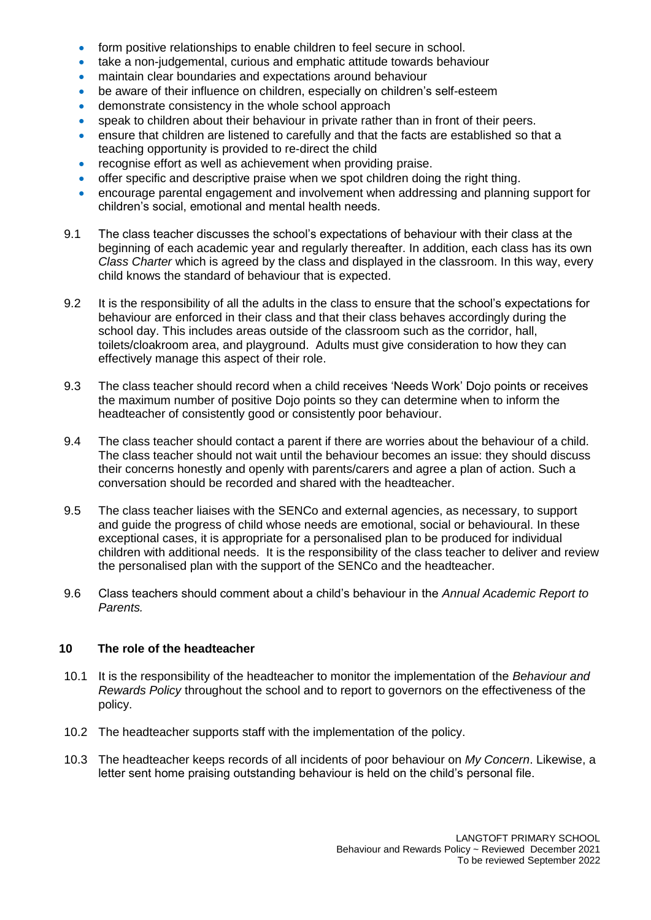- form positive relationships to enable children to feel secure in school.
- take a non-judgemental, curious and emphatic attitude towards behaviour
- maintain clear boundaries and expectations around behaviour
- be aware of their influence on children, especially on children's self-esteem
- demonstrate consistency in the whole school approach
- speak to children about their behaviour in private rather than in front of their peers.
- ensure that children are listened to carefully and that the facts are established so that a teaching opportunity is provided to re-direct the child
- recognise effort as well as achievement when providing praise.
- offer specific and descriptive praise when we spot children doing the right thing.
- encourage parental engagement and involvement when addressing and planning support for children's social, emotional and mental health needs.
- 9.1 The class teacher discusses the school's expectations of behaviour with their class at the beginning of each academic year and regularly thereafter. In addition, each class has its own *Class Charter* which is agreed by the class and displayed in the classroom. In this way, every child knows the standard of behaviour that is expected.
- 9.2 It is the responsibility of all the adults in the class to ensure that the school's expectations for behaviour are enforced in their class and that their class behaves accordingly during the school day. This includes areas outside of the classroom such as the corridor, hall, toilets/cloakroom area, and playground. Adults must give consideration to how they can effectively manage this aspect of their role.
- 9.3 The class teacher should record when a child receives 'Needs Work' Dojo points or receives the maximum number of positive Dojo points so they can determine when to inform the headteacher of consistently good or consistently poor behaviour.
- 9.4 The class teacher should contact a parent if there are worries about the behaviour of a child. The class teacher should not wait until the behaviour becomes an issue: they should discuss their concerns honestly and openly with parents/carers and agree a plan of action. Such a conversation should be recorded and shared with the headteacher.
- 9.5 The class teacher liaises with the SENCo and external agencies, as necessary, to support and guide the progress of child whose needs are emotional, social or behavioural. In these exceptional cases, it is appropriate for a personalised plan to be produced for individual children with additional needs. It is the responsibility of the class teacher to deliver and review the personalised plan with the support of the SENCo and the headteacher.
- 9.6 Class teachers should comment about a child's behaviour in the *Annual Academic Report to Parents.*

## **10 The role of the headteacher**

- 10.1 It is the responsibility of the headteacher to monitor the implementation of the *Behaviour and Rewards Policy* throughout the school and to report to governors on the effectiveness of the policy.
- 10.2 The headteacher supports staff with the implementation of the policy.
- 10.3 The headteacher keeps records of all incidents of poor behaviour on *My Concern*. Likewise, a letter sent home praising outstanding behaviour is held on the child's personal file.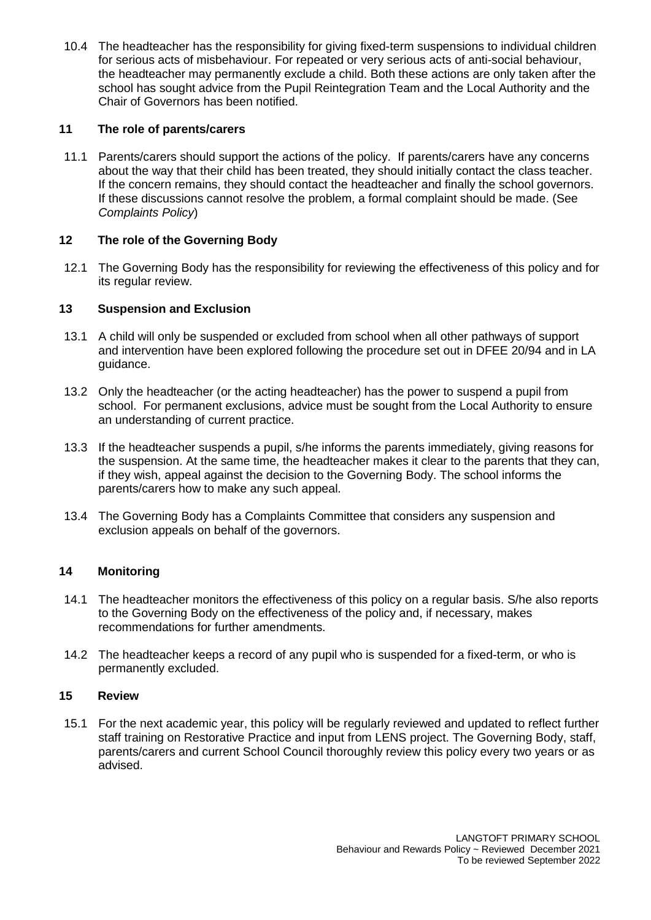10.4 The headteacher has the responsibility for giving fixed-term suspensions to individual children for serious acts of misbehaviour. For repeated or very serious acts of anti-social behaviour, the headteacher may permanently exclude a child. Both these actions are only taken after the school has sought advice from the Pupil Reintegration Team and the Local Authority and the Chair of Governors has been notified.

# **11 The role of parents/carers**

11.1 Parents/carers should support the actions of the policy. If parents/carers have any concerns about the way that their child has been treated, they should initially contact the class teacher. If the concern remains, they should contact the headteacher and finally the school governors. If these discussions cannot resolve the problem, a formal complaint should be made. (See *Complaints Policy*)

# **12 The role of the Governing Body**

12.1 The Governing Body has the responsibility for reviewing the effectiveness of this policy and for its regular review.

## **13 Suspension and Exclusion**

- 13.1 A child will only be suspended or excluded from school when all other pathways of support and intervention have been explored following the procedure set out in DFEE 20/94 and in LA guidance.
- 13.2 Only the headteacher (or the acting headteacher) has the power to suspend a pupil from school. For permanent exclusions, advice must be sought from the Local Authority to ensure an understanding of current practice.
- 13.3 If the headteacher suspends a pupil, s/he informs the parents immediately, giving reasons for the suspension. At the same time, the headteacher makes it clear to the parents that they can, if they wish, appeal against the decision to the Governing Body. The school informs the parents/carers how to make any such appeal.
- 13.4 The Governing Body has a Complaints Committee that considers any suspension and exclusion appeals on behalf of the governors.

# **14 Monitoring**

- 14.1 The headteacher monitors the effectiveness of this policy on a regular basis. S/he also reports to the Governing Body on the effectiveness of the policy and, if necessary, makes recommendations for further amendments.
- 14.2 The headteacher keeps a record of any pupil who is suspended for a fixed-term, or who is permanently excluded.

## **15 Review**

15.1 For the next academic year, this policy will be regularly reviewed and updated to reflect further staff training on Restorative Practice and input from LENS project. The Governing Body, staff, parents/carers and current School Council thoroughly review this policy every two years or as advised.